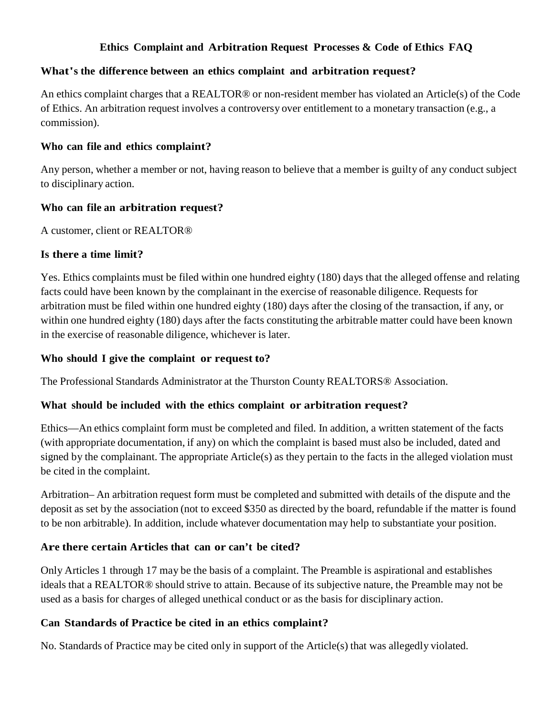### **Ethics Complaint and Arbitration Request Processes & Code of Ethics FAQ**

#### **What's the difference between an ethics complaint and arbitration request?**

An ethics complaint charges that a REALTOR® or non-resident member has violated an Article(s) of the Code of Ethics. An arbitration request involves a controversy over entitlement to a monetary transaction (e.g., a commission).

#### **Who can file and ethics complaint?**

Any person, whether a member or not, having reason to believe that a member is guilty of any conduct subject to disciplinary action.

#### **Who can file an arbitration request?**

A customer, client or REALTOR®

#### **Is there a time limit?**

Yes. Ethics complaints must be filed within one hundred eighty (180) days that the alleged offense and relating facts could have been known by the complainant in the exercise of reasonable diligence. Requests for arbitration must be filed within one hundred eighty (180) days after the closing of the transaction, if any, or within one hundred eighty (180) days after the facts constituting the arbitrable matter could have been known in the exercise of reasonable diligence, whichever is later.

### **Who should I give the complaint or request to?**

The Professional Standards Administrator at the Thurston County REALTORS® Association.

## **What should be included with the ethics complaint or arbitration request?**

Ethics—An ethics complaint form must be completed and filed. In addition, a written statement of the facts (with appropriate documentation, if any) on which the complaint is based must also be included, dated and signed by the complainant. The appropriate Article(s) as they pertain to the facts in the alleged violation must be cited in the complaint.

Arbitration– An arbitration request form must be completed and submitted with details of the dispute and the deposit as set by the association (not to exceed \$350 as directed by the board, refundable if the matter is found to be non arbitrable). In addition, include whatever documentation may help to substantiate your position.

## **Are there certain Articles that can or can't be cited?**

Only Articles 1 through 17 may be the basis of a complaint. The Preamble is aspirational and establishes ideals that a REALTOR® should strive to attain. Because of its subjective nature, the Preamble may not be used as a basis for charges of alleged unethical conduct or as the basis for disciplinary action.

## **Can Standards of Practice be cited in an ethics complaint?**

No. Standards of Practice may be cited only in support of the Article(s) that was allegedly violated.